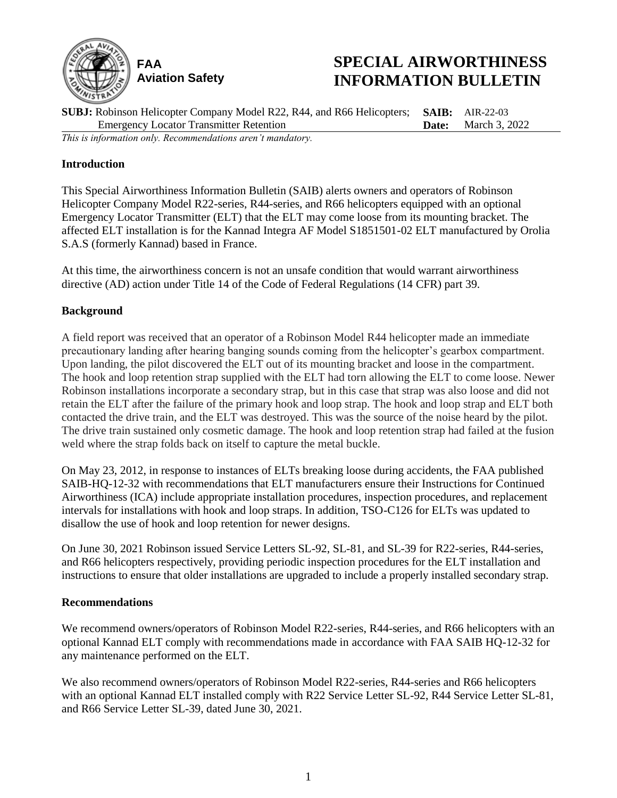

# **SPECIAL AIRWORTHINESS INFORMATION BULLETIN**

**SUBJ:** Robinson Helicopter Company Model R22, R44, and R66 Helicopters; Emergency Locator Transmitter Retention **SAIB:** AIR-22-03 **Date:** March 3, 2022 *This is information only. Recommendations aren't mandatory.*

## **Introduction**

This Special Airworthiness Information Bulletin (SAIB) alerts owners and operators of Robinson Helicopter Company Model R22-series, R44-series, and R66 helicopters equipped with an optional Emergency Locator Transmitter (ELT) that the ELT may come loose from its mounting bracket. The affected ELT installation is for the Kannad Integra AF Model S1851501-02 ELT manufactured by Orolia S.A.S (formerly Kannad) based in France.

At this time, the airworthiness concern is not an unsafe condition that would warrant airworthiness directive (AD) action under Title 14 of the Code of Federal Regulations (14 CFR) part 39.

### **Background**

A field report was received that an operator of a Robinson Model R44 helicopter made an immediate precautionary landing after hearing banging sounds coming from the helicopter's gearbox compartment. Upon landing, the pilot discovered the ELT out of its mounting bracket and loose in the compartment. The hook and loop retention strap supplied with the ELT had torn allowing the ELT to come loose. Newer Robinson installations incorporate a secondary strap, but in this case that strap was also loose and did not retain the ELT after the failure of the primary hook and loop strap. The hook and loop strap and ELT both contacted the drive train, and the ELT was destroyed. This was the source of the noise heard by the pilot. The drive train sustained only cosmetic damage. The hook and loop retention strap had failed at the fusion weld where the strap folds back on itself to capture the metal buckle.

On May 23, 2012, in response to instances of ELTs breaking loose during accidents, the FAA published SAIB-HQ-12-32 with recommendations that ELT manufacturers ensure their Instructions for Continued Airworthiness (ICA) include appropriate installation procedures, inspection procedures, and replacement intervals for installations with hook and loop straps. In addition, TSO-C126 for ELTs was updated to disallow the use of hook and loop retention for newer designs.

On June 30, 2021 Robinson issued Service Letters SL-92, SL-81, and SL-39 for R22-series, R44-series, and R66 helicopters respectively, providing periodic inspection procedures for the ELT installation and instructions to ensure that older installations are upgraded to include a properly installed secondary strap.

### **Recommendations**

We recommend owners/operators of Robinson Model R22-series, R44-series, and R66 helicopters with an optional Kannad ELT comply with recommendations made in accordance with FAA SAIB HQ-12-32 for any maintenance performed on the ELT.

We also recommend owners/operators of Robinson Model R22-series, R44-series and R66 helicopters with an optional Kannad ELT installed comply with R22 Service Letter SL-92, R44 Service Letter SL-81, and R66 Service Letter SL-39, dated June 30, 2021.